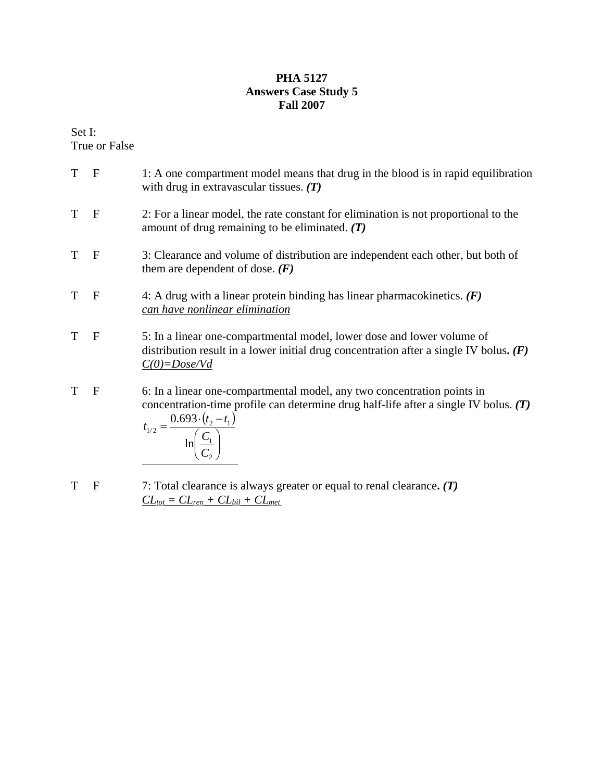## **PHA 5127 Answers Case Study 5 Fall 2007**

Set I: True or False

- T F 1: A one compartment model means that drug in the blood is in rapid equilibration with drug in extravascular tissues. *(T)*  T F 2: For a linear model, the rate constant for elimination is not proportional to the amount of drug remaining to be eliminated. *(T)*  T F 3: Clearance and volume of distribution are independent each other, but both of them are dependent of dose. *(F)* T F 4: A drug with a linear protein binding has linear pharmacokinetics. *(F) can have nonlinear elimination* T F 5: In a linear one-compartmental model, lower dose and lower volume of distribution result in a lower initial drug concentration after a single IV bolus**.** *(F) C(0)=Dose/Vd* T F 6: In a linear one-compartmental model, any two concentration points in concentration-time profile can determine drug half-life after a single IV bolus. *(T)*   $(t, -t_1)$  $\sqrt{2}$ ⎠  $\setminus$  $\parallel$ ⎝  $\big($  $=\frac{0.693\cdot (t_2 - t_1)}{2}$ 2 1  $v_{1/2} = \frac{0.023 \cdot v_2 - v_1}{6}$ ln 0.693 *C C*  $t_{1/2} = \frac{0.693 \cdot (t_2 - t_1)}{t_1}$ T F 7: Total clearance is always greater or equal to renal clearance**.** *(T)* 
	- $CL_{tot} = CL_{ren} + CL_{bil} + CL_{met}$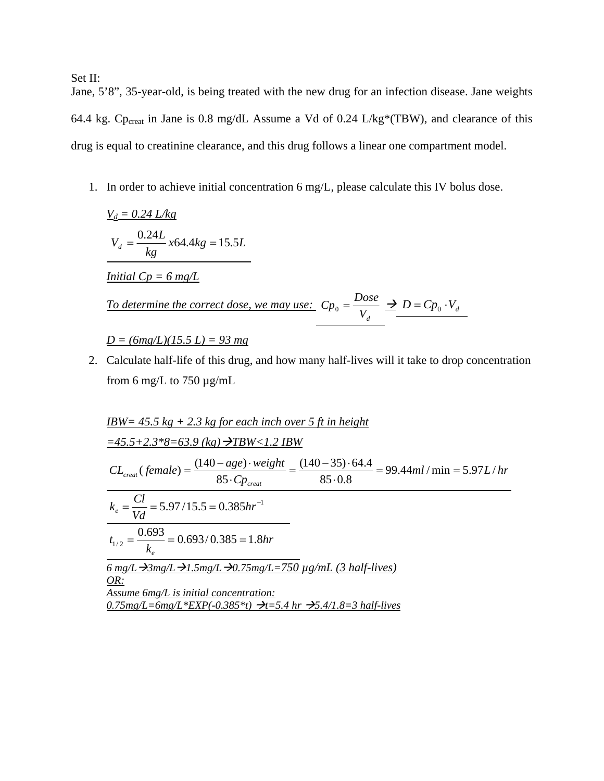Set II:

Jane, 5'8", 35-year-old, is being treated with the new drug for an infection disease. Jane weights 64.4 kg. Cp<sub>creat</sub> in Jane is 0.8 mg/dL Assume a Vd of 0.24 L/kg\*(TBW), and clearance of this drug is equal to creatinine clearance, and this drug follows a linear one compartment model.

1. In order to achieve initial concentration 6 mg/L, please calculate this IV bolus dose.

$$
\frac{V_d = 0.24 \, L/kg}{kg}
$$
\n
$$
V_d = \frac{0.24L}{kg} x64.4kg = 15.5L
$$
\nInitial Cp = 6 mg/L

\nTo determine the correct dose, we may use: 
$$
C p_0 = \frac{Dose}{V_d} \implies D = C p_0 \cdot V_d
$$

\n
$$
D = (6mg/L)(15.5 \, L) = 93 \, mg
$$

2. Calculate half-life of this drug, and how many half-lives will it take to drop concentration from 6 mg/L to 750  $\mu$ g/mL

$$
\underline{IBW} = 45.5 \text{ kg} + 2.3 \text{ kg for each inch over 5 ft in height}
$$
\n
$$
=45.5+2.3*8=63.9 \text{ (kg)} \rightarrow TBW < 1.2 IBW
$$
\n
$$
CL_{\text{creat}}(\text{female}) = \frac{(140 - age) \cdot weight}{85 \cdot Cp_{\text{creat}}} = \frac{(140 - 35) \cdot 64.4}{85 \cdot 0.8} = 99.44 \text{ ml/min} = 5.97 L/hr
$$
\n
$$
k_e = \frac{Cl}{Vd} = 5.97/15.5 = 0.385 hr^{-1}
$$
\n
$$
t_{1/2} = \frac{0.693}{k_e} = 0.693/0.385 = 1.8 hr
$$
\n
$$
\frac{6 \text{ mg/L} \rightarrow 3 \text{ mg/L} \rightarrow 1.5 \text{ mg/L} \rightarrow 0.75 \text{ mg/L} = 750 \text{ µg/mL} \ (3 \text{ half-lives})}{0.75 \text{ mg/L} \rightarrow 8 \text{ mg/L} \ (3 \text{ half-lives})} = 0.75 mg / L \rightarrow 8 \text{ mg/L} \ (3 \text{ half-lives})
$$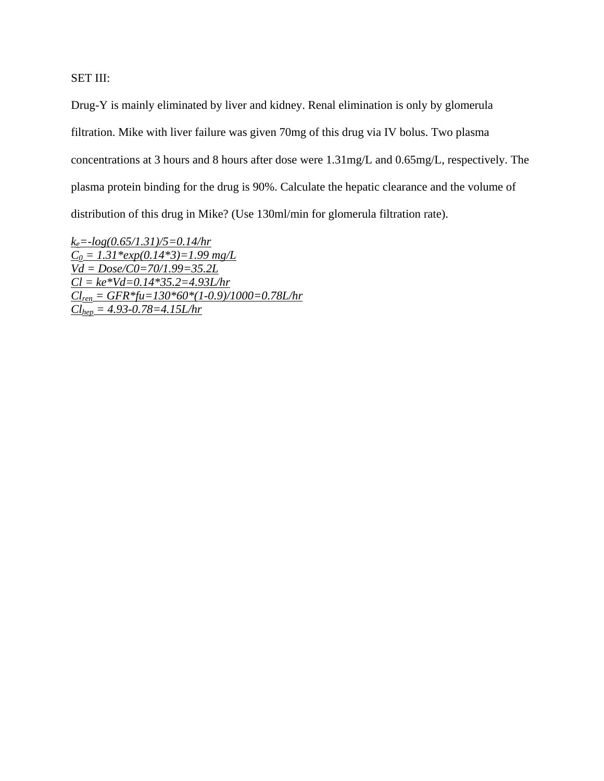SET III:

Drug-Y is mainly eliminated by liver and kidney. Renal elimination is only by glomerula filtration. Mike with liver failure was given 70mg of this drug via IV bolus. Two plasma concentrations at 3 hours and 8 hours after dose were 1.31mg/L and 0.65mg/L, respectively. The plasma protein binding for the drug is 90%. Calculate the hepatic clearance and the volume of distribution of this drug in Mike? (Use 130ml/min for glomerula filtration rate).

 $k_e = -log(0.65/1.31)/5 = 0.14/hr$  $C_0 = 1.31*exp(0.14*3) = 1.99$  mg/L  $\overline{Vd} = \overline{Dose/C0} = 70/1.99 = 35.2L$  $Cl = ke*Vd = 0.14*35.2 = 4.93L/hr$  $CL_{ren} = GFR * fu = 130 * 60 * (1-0.9)/1000 = 0.78L/hr$  $Cl_{hep} = 4.93 - 0.78 = 4.15L/hr$